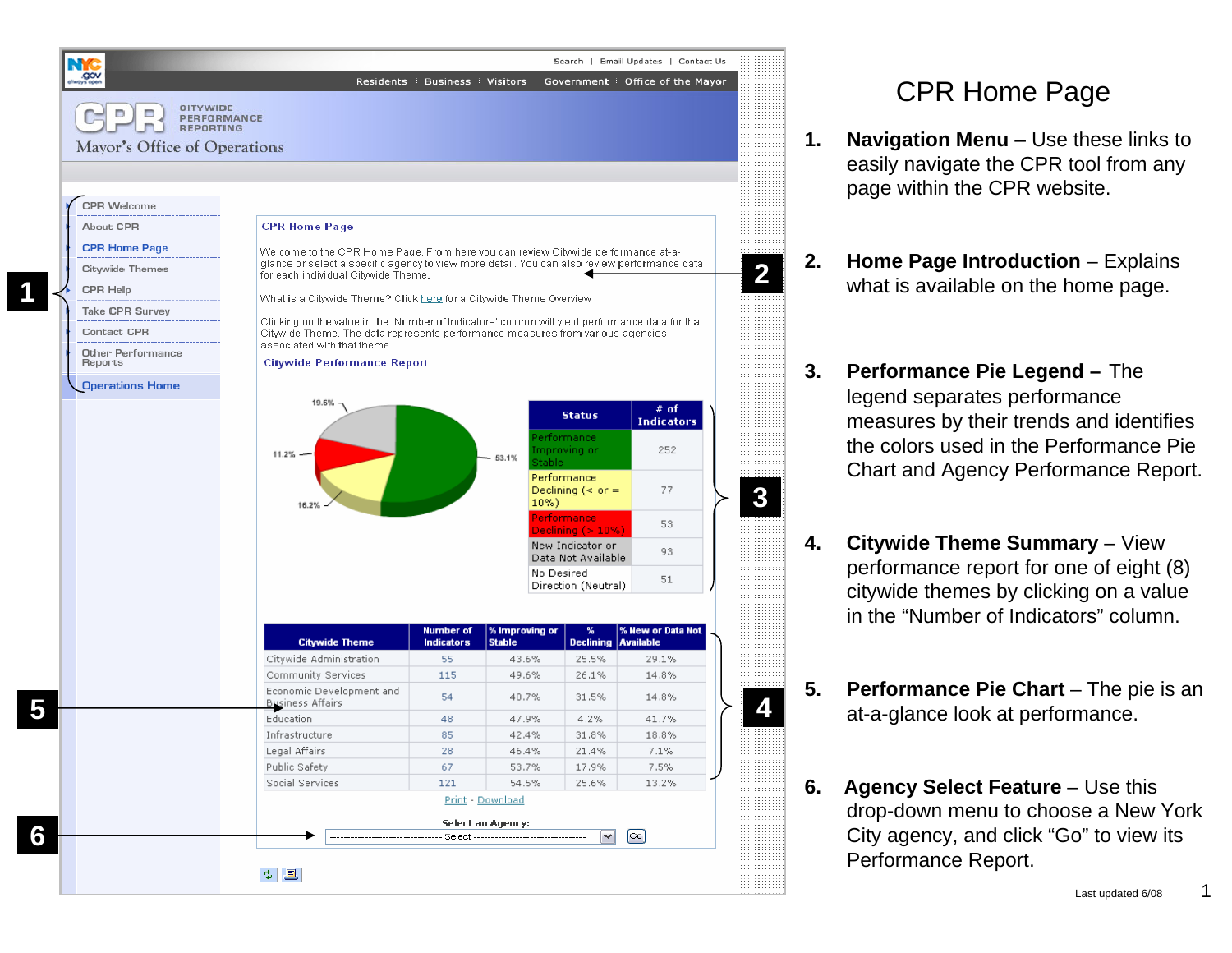

**1**

#### CPR Home Page

- **1. Navigation Menu**  Use these links to easily navigate the CPR tool from any page within the CPR website.
- **2. Home Page Introduction** Explains what is available on the home page.
- **3. Performance Pie Legend –** The legend separates performance measures by their trends and identifies the colors used in the Performance Pie Chart and Agency Performance Report.
- **4. Citywide Theme Summary** View performance report for one of eight (8) citywide themes by clicking on a value in the "Number of Indicators" column.
- **5. Performance Pie Chart** The pie is an at-a-glance look at performance.
- **6. Agency Select Feature** Use this drop-down menu to choose a New York City agency, and click "Go" to view its Performance Report.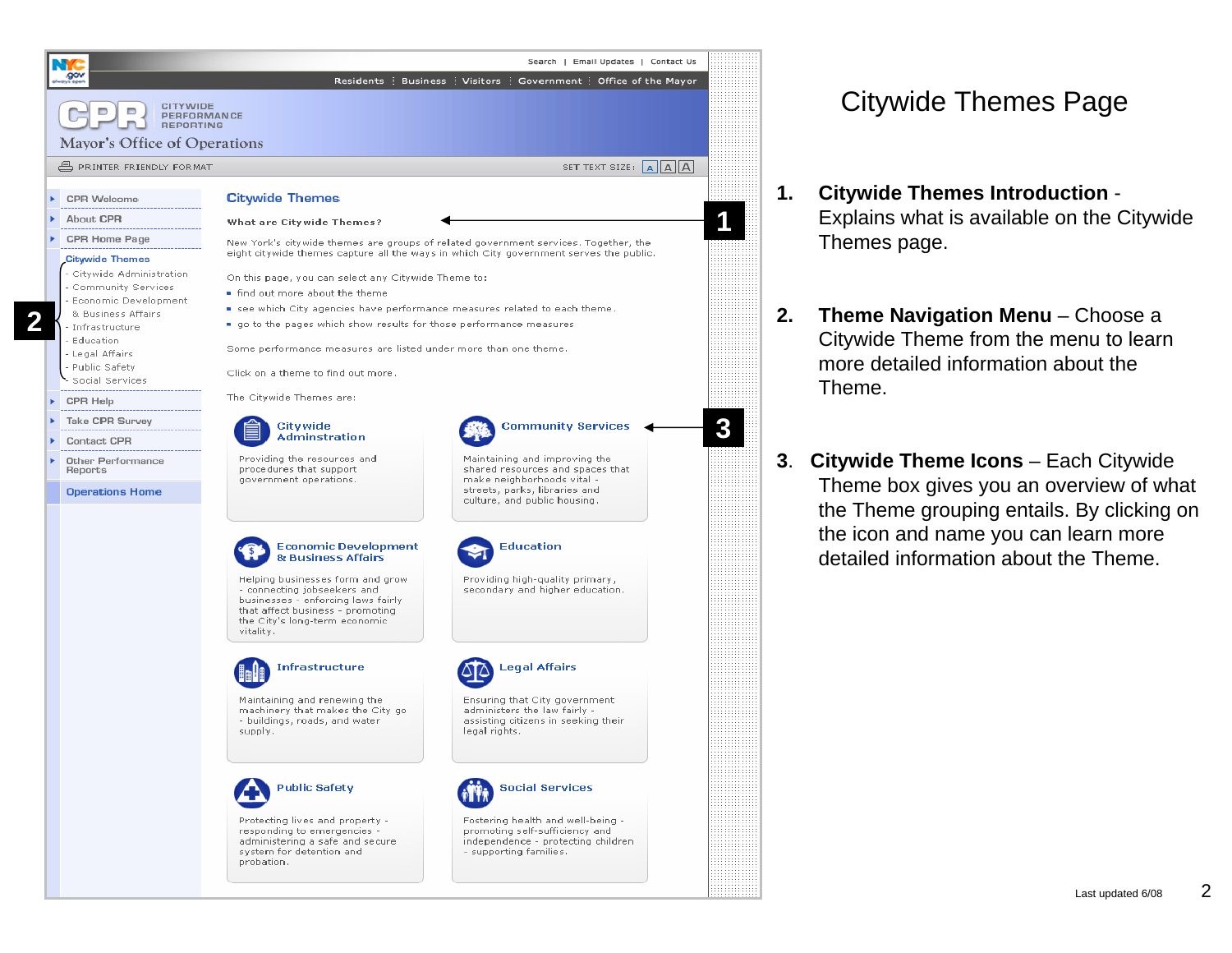

#### Citywide Themes Page

- **1. Citywide Themes Introduction** Explains what is available on the Citywide Themes page.
- **2. Theme Navigation Menu** Choose a Citywide Theme from the menu to learn more detailed information about the Theme.
- **3**. **Citywide Theme Icons**  Each Citywide Theme box gives you an overview of what the Theme grouping entails. By clicking on the icon and name you can learn more detailed information about the Theme.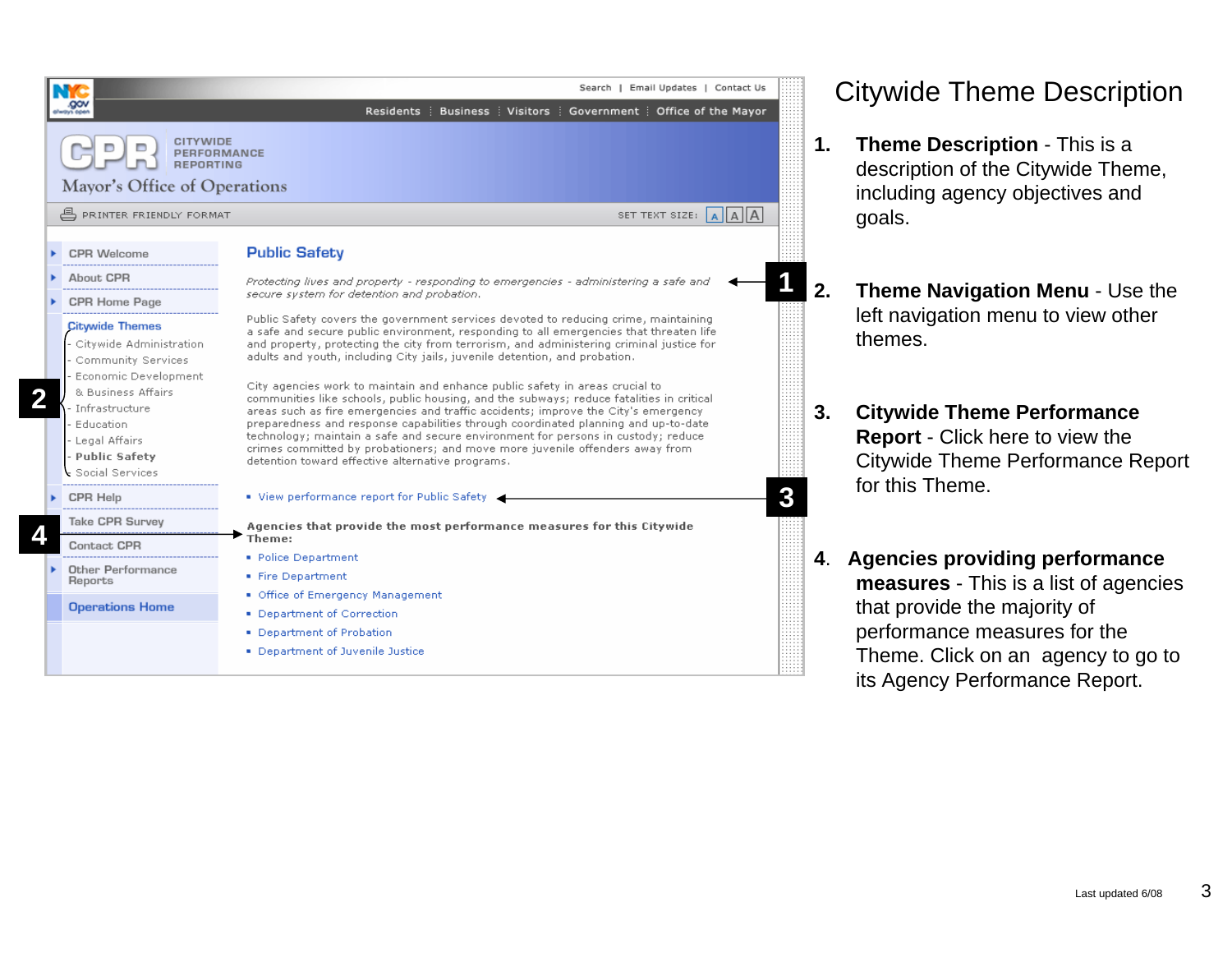

#### Citywide Theme Description

- **1. Theme Description** This is a description of the Citywide Theme, including agency objectives and goals.
- **2. Theme Navigation Menu** Use the left navigation menu to view other themes.
- **3. Citywide Theme Performance Report** - Click here to view the Citywide Theme Performance Report for this Theme.
- **4**. **Agencies providing performance measures** - This is a list of agencies that provide the majority of performance measures for the Theme. Click on an agency to go to its Agency Performance Report.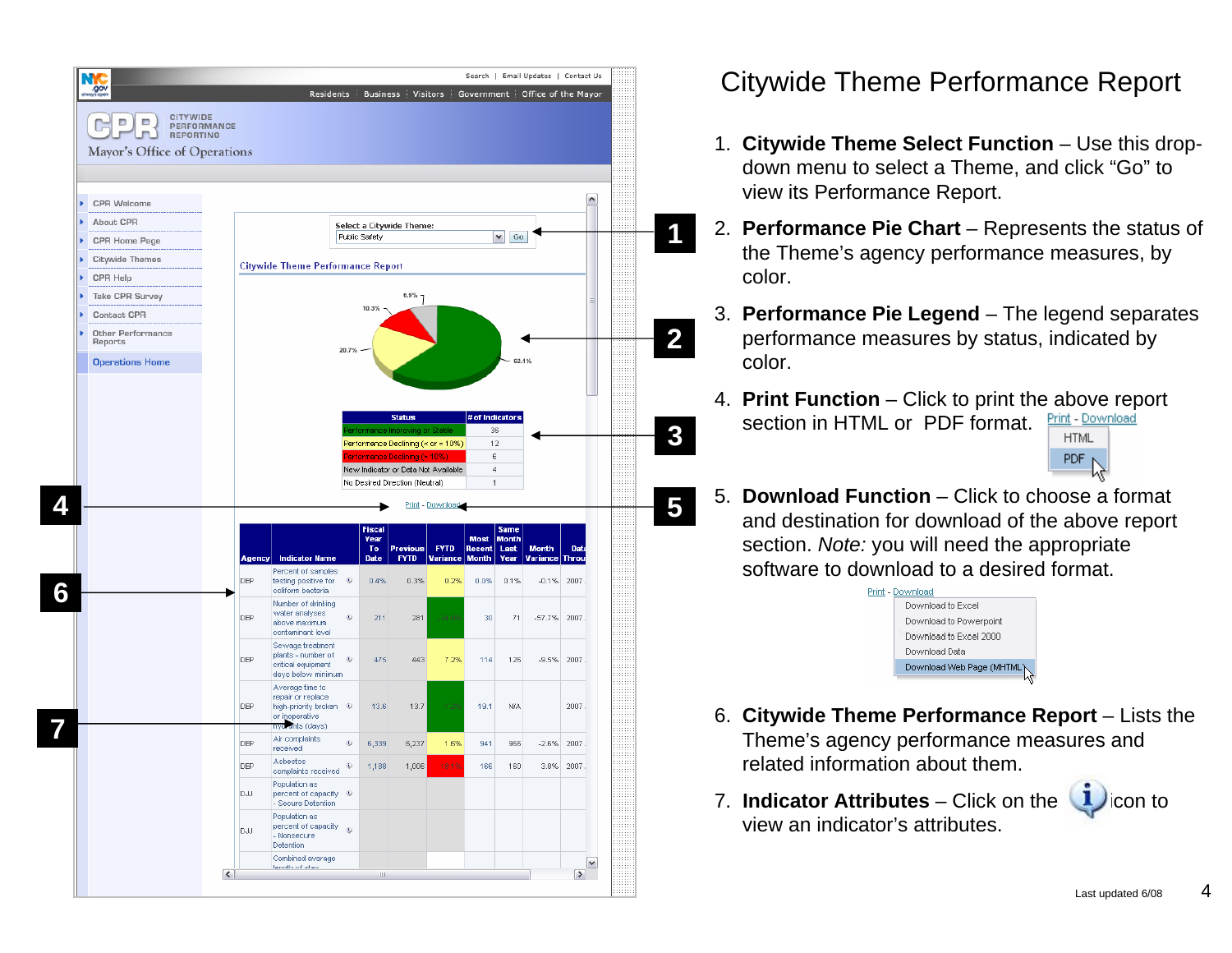

# Citywide Theme Performance Report

- 1. **Citywide Theme Select Function** Use this dropdown menu to select a Theme, and click "Go" to view its Performance Report.
- 2. **Performance Pie Chart** Represents the status of the Theme's agency performance measures, by color.
- 3. **Performance Pie Legend** The legend separates performance measures by status, indicated by color.
- 4. **Print Function** Click to print the above report section in HTML or PDF format. Print - Download **HTML** PDF ド
- 5. **Download Function** Click to choose a format and destination for download of the above report section. *Note:* you will need the appropriate software to download to a desired format.



- 6. **Citywide Theme Performance Report** Lists the Theme's agency performance measures and related information about them.
- 7. **Indicator Attributes** Click on the **indicator Attributes** view an indicator's attributes.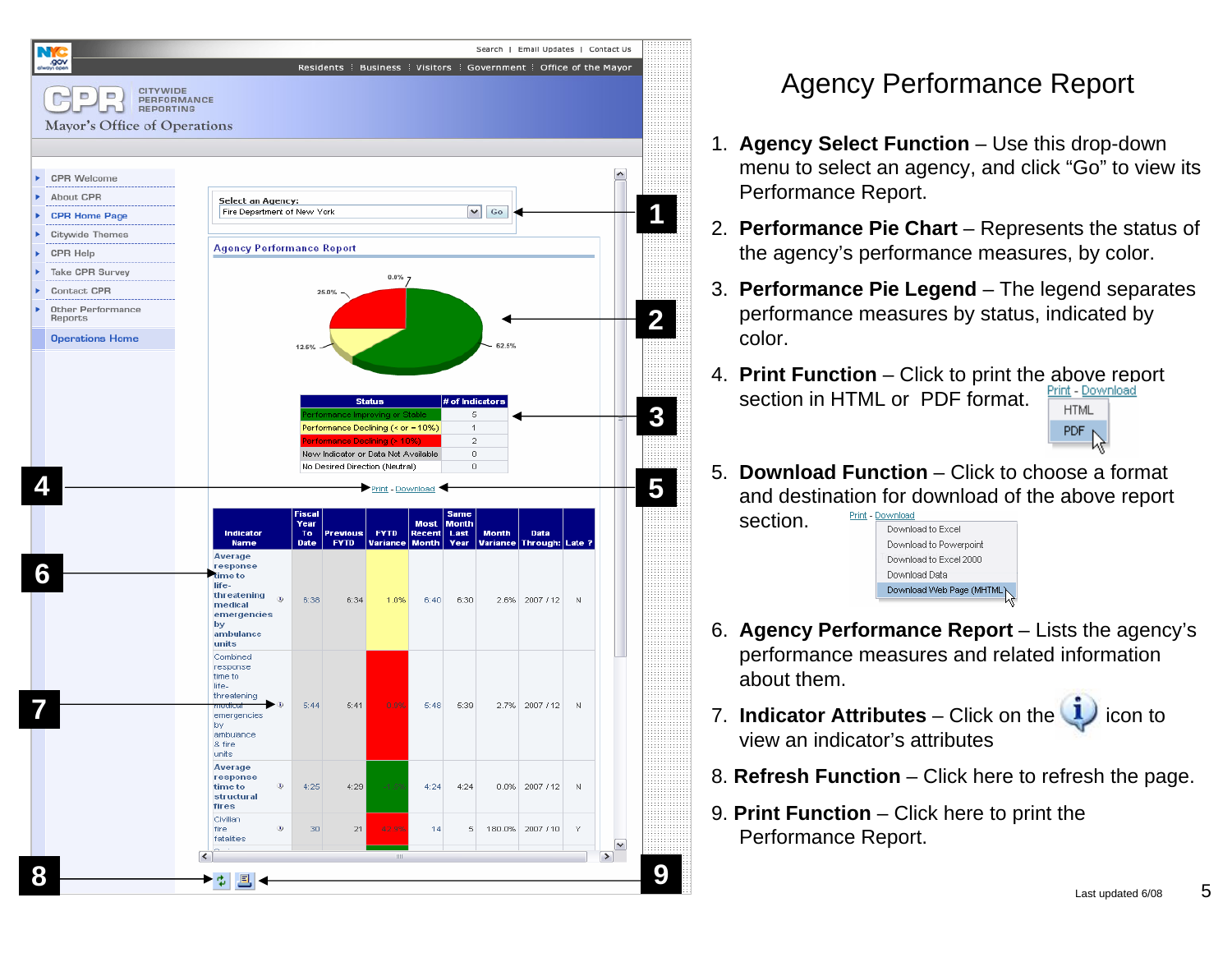

# Agency Performance Report

- 1. **Agency Select Function** Use this drop-down menu to select an agency, and click "Go" to view its Performance Report.
- 2. **Performance Pie Chart** Represents the status of the agency's performance measures, by color.
- 3. **Performance Pie Legend** The legend separates performance measures by status, indicated by color.
- 4. **Print Function** Click to print the above report section in HTML or PDF format. **HTML**



5. **Download Function** – Click to choose a format and destination for download of the above report Print - Download section.

| Download to Excel         |
|---------------------------|
| Download to Powerpoint    |
| Download to Excel 2000    |
| Download Data             |
| Download Web Page (MHTML) |
|                           |

- 6. **Agency Performance Report** Lists the agency's performance measures and related information about them.
- 7. **Indicator Attributes** Click on the **indicator Attributes** view an indicator's attributes
- 8. **Refresh Function** Click here to refresh the page.
- 9. **Print Function** Click here to print the Performance Report.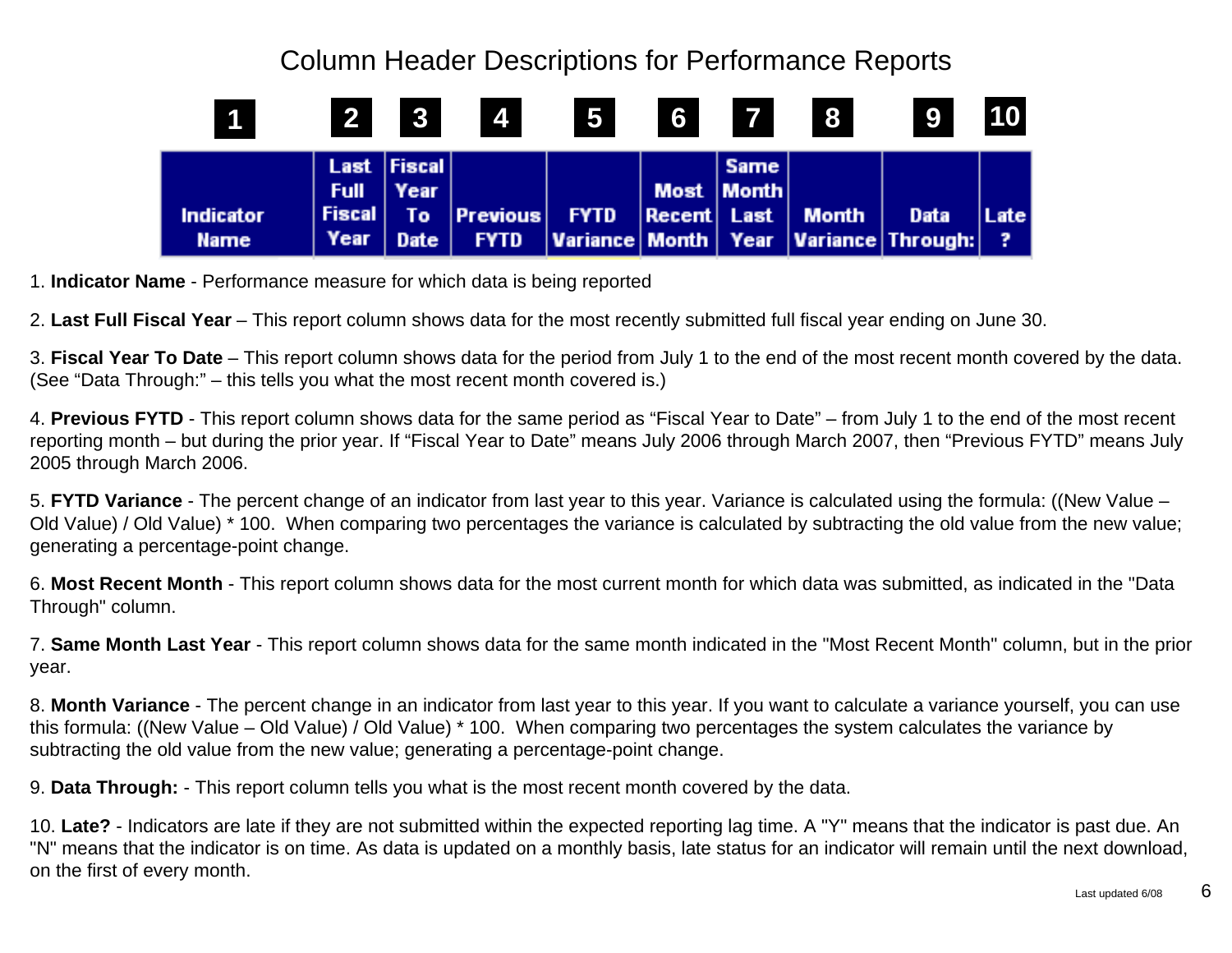# Column Header Descriptions for Performance Reports

| $\blacksquare$                  |                  | $\begin{array}{ c c c }\n\hline\n2 & 3\n\end{array}$ | 4                               | 5 <sub>1</sub> |                       | 6 7 | 8 <sup>1</sup>           | 9                                                              |      |
|---------------------------------|------------------|------------------------------------------------------|---------------------------------|----------------|-----------------------|-----|--------------------------|----------------------------------------------------------------|------|
|                                 | <b>Full</b>      | Last Fiscal<br><b>Year</b>                           |                                 |                | Same<br>  Month Month |     |                          |                                                                |      |
| <b>Indicator</b><br><b>Name</b> | Fiscal  <br>Year | Date                                                 | To Previous FYTD<br><b>FYTD</b> |                |                       |     | <b>Recent Last Month</b> | <b>Data</b><br>Variance Month   Year   Variance   Through:   ? | Late |

1. **Indicator Name** - Performance measure for which data is being reported

2. **Last Full Fiscal Year** – This report column shows data for the most recently submitted full fiscal year ending on June 30.

3. **Fiscal Year To Date** – This report column shows data for the period from July 1 to the end of the most recent month covered by the data. (See "Data Through:" – this tells you what the most recent month covered is.)

4. **Previous FYTD** - This report column shows data for the same period as "Fiscal Year to Date" – from July 1 to the end of the most recent reporting month – but during the prior year. If "Fiscal Year to Date" means July 2006 through March 2007, then "Previous FYTD" means July 2005 through March 2006.

5. **FYTD Variance** - The percent change of an indicator from last year to this year. Variance is calculated using the formula: ((New Value – Old Value) / Old Value) \* 100. When comparing two percentages the variance is calculated by subtracting the old value from the new value; generating a percentage-point change.

6. **Most Recent Month** - This report column shows data for the most current month for which data was submitted, as indicated in the "Data Through" column.

7. **Same Month Last Year** - This report column shows data for the same month indicated in the "Most Recent Month" column, but in the prior year.

8. **Month Variance** - The percent change in an indicator from last year to this year. If you want to calculate a variance yourself, you can use this formula: ((New Value – Old Value) / Old Value) \* 100. When comparing two percentages the system calculates the variance by subtracting the old value from the new value; generating a percentage-point change.

9. **Data Through:** - This report column tells you what is the most recent month covered by the data.

10. **Late?** - Indicators are late if they are not submitted within the expected reporting lag time. A "Y" means that the indicator is past due. An "N" means that the indicator is on time. As data is updated on a monthly basis, late status for an indicator will remain until the next download, on the first of every month.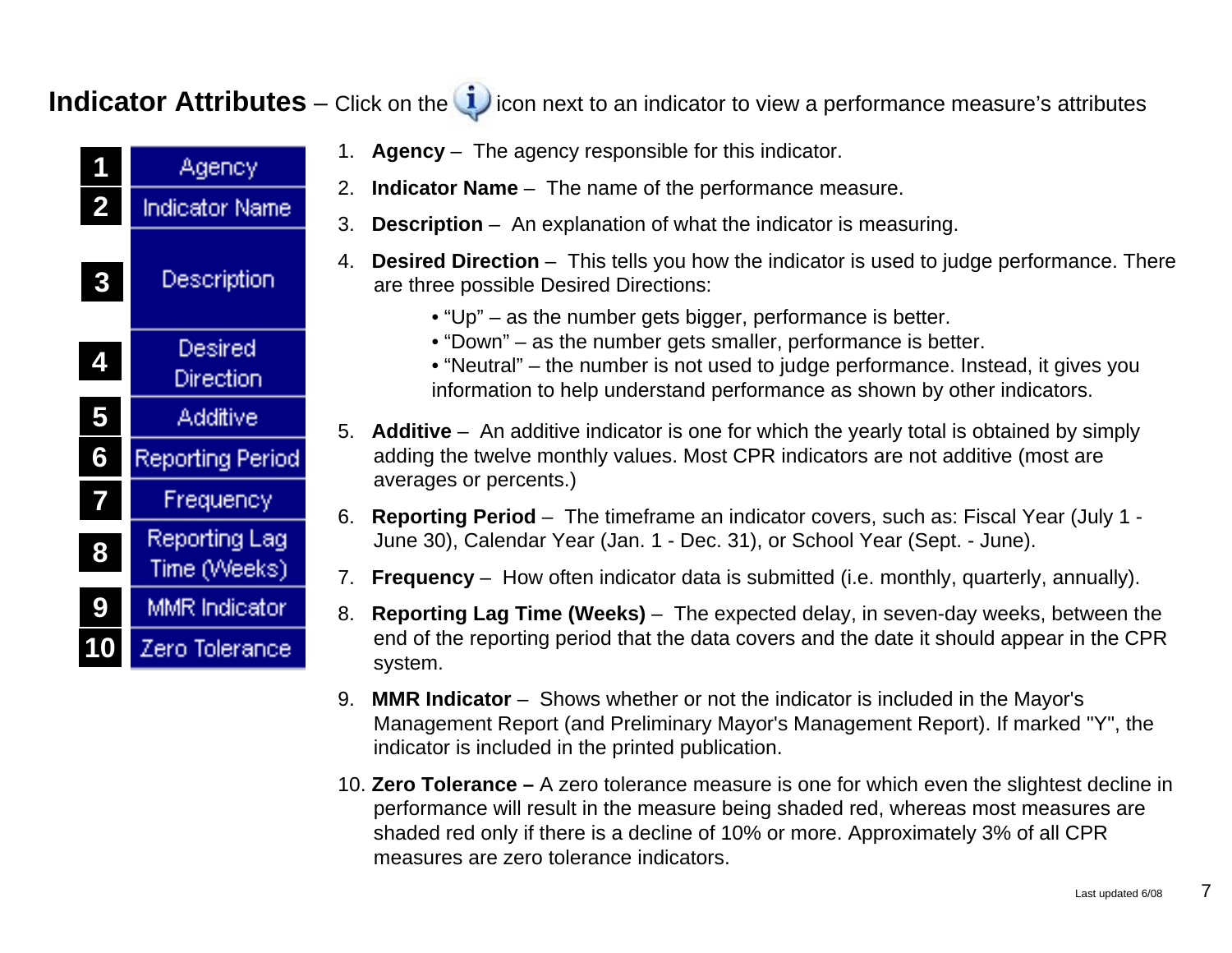#### **Indicator Attributes** – Click on the **i** icon next to an indicator to view a performance measure's attributes



- 1. **Agency**  The agency responsible for this indicator.
- 2. **Indicator Name** The name of the performance measure.
- 3.**Description** – An explanation of what the indicator is measuring.
- 4. **Desired Direction** This tells you how the indicator is used to judge performance. There are three possible Desired Directions:
	- "Up" as the number gets bigger, performance is better.
	- "Down" as the number gets smaller, performance is better.
	- "Neutral" the number is not used to judge performance. Instead, it gives you information to help understand performance as shown by other indicators.
- 5. **Additive** An additive indicator is one for which the yearly total is obtained by simply adding the twelve monthly values. Most CPR indicators are not additive (most are averages or percents.)
- 6. **Reporting Period** The timeframe an indicator covers, such as: Fiscal Year (July 1 June 30), Calendar Year (Jan. 1 - Dec. 31), or School Year (Sept. - June).
- 7. **Frequency** How often indicator data is submitted (i.e. monthly, quarterly, annually).
- 8. **Reporting Lag Time (Weeks)** The expected delay, in seven-day weeks, between the end of the reporting period that the data covers and the date it should appear in the CPR system.
- 9. **MMR Indicator** Shows whether or not the indicator is included in the Mayor's Management Report (and Preliminary Mayor's Management Report). If marked "Y", the indicator is included in the printed publication.
- 10. **Zero Tolerance –** A zero tolerance measure is one for which even the slightest decline in performance will result in the measure being shaded red, whereas most measures are shaded red only if there is a decline of 10% or more. Approximately 3% of all CPR measures are zero tolerance indicators.